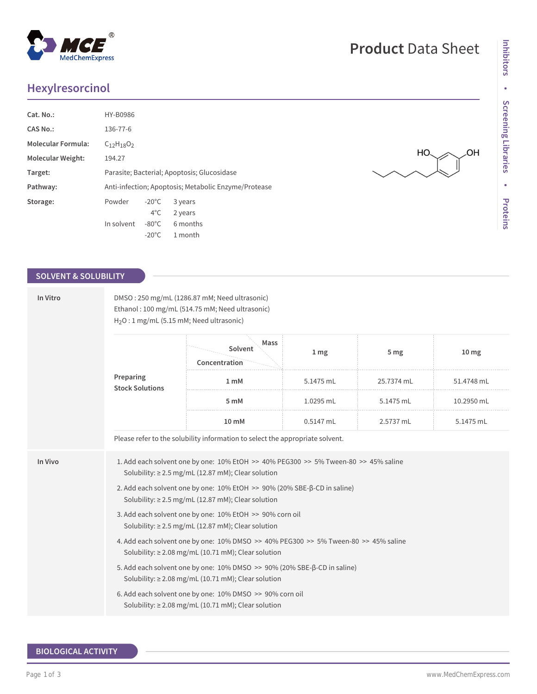# **Hexylresorcinol**

| Cat. No.:                 | HY-B0986                                             |                 |          |  |  |
|---------------------------|------------------------------------------------------|-----------------|----------|--|--|
| CAS No.:                  | 136-77-6                                             |                 |          |  |  |
| <b>Molecular Formula:</b> | $C_{12}H_{18}O_2$                                    |                 |          |  |  |
| <b>Molecular Weight:</b>  | 194.27                                               |                 |          |  |  |
| Target:                   | Parasite; Bacterial; Apoptosis; Glucosidase          |                 |          |  |  |
| Pathway:                  | Anti-infection; Apoptosis; Metabolic Enzyme/Protease |                 |          |  |  |
| Storage:                  | Powder                                               | $-20^{\circ}$ C | 3 years  |  |  |
|                           |                                                      | $4^{\circ}$ C   | 2 years  |  |  |
|                           | In solvent                                           | $-80^{\circ}$ C | 6 months |  |  |
|                           |                                                      | $-20^{\circ}$ C | 1 month  |  |  |

#### **SOLVENT & SOLUBILITY**

| In Vitro | DMSO: 250 mg/mL (1286.87 mM; Need ultrasonic)<br>Ethanol: 100 mg/mL (514.75 mM; Need ultrasonic)<br>H <sub>2</sub> O: 1 mg/mL (5.15 mM; Need ultrasonic) |                                  |                 |                 |                  |  |  |
|----------|----------------------------------------------------------------------------------------------------------------------------------------------------------|----------------------------------|-----------------|-----------------|------------------|--|--|
|          |                                                                                                                                                          | Mass<br>Solvent<br>Concentration | 1 <sub>mg</sub> | 5 <sub>mg</sub> | 10 <sub>mg</sub> |  |  |
|          | Preparing<br><b>Stock Solutions</b>                                                                                                                      | 1 mM                             | 5.1475 mL       | 25.7374 mL      | 51.4748 mL       |  |  |
|          |                                                                                                                                                          | 5 mM                             | 1.0295 mL       | 5.1475 mL       | 10.2950 mL       |  |  |
|          |                                                                                                                                                          | 10 mM                            | 0.5147 mL       | 2.5737 mL       | 5.1475 mL        |  |  |
|          | Please refer to the solubility information to select the appropriate solvent.                                                                            |                                  |                 |                 |                  |  |  |
| In Vivo  | 1. Add each solvent one by one: 10% EtOH >> 40% PEG300 >> 5% Tween-80 >> 45% saline<br>Solubility: $\geq$ 2.5 mg/mL (12.87 mM); Clear solution           |                                  |                 |                 |                  |  |  |
|          | 2. Add each solvent one by one: 10% EtOH >> 90% (20% SBE-β-CD in saline)<br>Solubility: $\geq$ 2.5 mg/mL (12.87 mM); Clear solution                      |                                  |                 |                 |                  |  |  |
|          | 3. Add each solvent one by one: 10% EtOH >> 90% corn oil<br>Solubility: $\geq$ 2.5 mg/mL (12.87 mM); Clear solution                                      |                                  |                 |                 |                  |  |  |
|          | 4. Add each solvent one by one: 10% DMSO >> 40% PEG300 >> 5% Tween-80 >> 45% saline<br>Solubility: $\geq$ 2.08 mg/mL (10.71 mM); Clear solution          |                                  |                 |                 |                  |  |  |
|          | 5. Add each solvent one by one: 10% DMSO >> 90% (20% SBE-β-CD in saline)<br>Solubility: ≥ 2.08 mg/mL (10.71 mM); Clear solution                          |                                  |                 |                 |                  |  |  |
|          | 6. Add each solvent one by one: 10% DMSO >> 90% corn oil<br>Solubility: $\geq$ 2.08 mg/mL (10.71 mM); Clear solution                                     |                                  |                 |                 |                  |  |  |

### **BIOLOGICAL ACTIVITY**





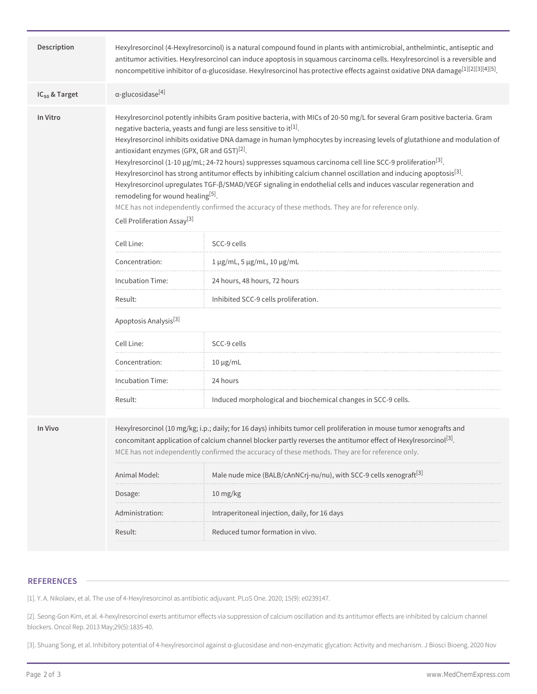| Description        | Hexylresorcinol (4-Hexylresorcinol) is a natural compound found in plants with antimicrobial, anthelmintic, antiseptic and<br>antitumor activities. Hexylresorcinol can induce apoptosis in squamous carcinoma cells. Hexylresorcinol is a reversible and<br>noncompetitive inhibitor of a-glucosidase. Hexylresorcinol has protective effects against oxidative DNA damage <sup>[1][2][3][4][5]</sup> .                                                                                                                                                                                                                                                                                                                                                                                                                                                                                                                                                                              |                                                                                |  |  |  |
|--------------------|---------------------------------------------------------------------------------------------------------------------------------------------------------------------------------------------------------------------------------------------------------------------------------------------------------------------------------------------------------------------------------------------------------------------------------------------------------------------------------------------------------------------------------------------------------------------------------------------------------------------------------------------------------------------------------------------------------------------------------------------------------------------------------------------------------------------------------------------------------------------------------------------------------------------------------------------------------------------------------------|--------------------------------------------------------------------------------|--|--|--|
| $IC_{50}$ & Target | $\alpha$ -glucosidase <sup>[4]</sup>                                                                                                                                                                                                                                                                                                                                                                                                                                                                                                                                                                                                                                                                                                                                                                                                                                                                                                                                                  |                                                                                |  |  |  |
| In Vitro           | Hexylresorcinol potently inhibits Gram positive bacteria, with MICs of 20-50 mg/L for several Gram positive bacteria. Gram<br>negative bacteria, yeasts and fungi are less sensitive to it <sup>[1]</sup> .<br>Hexylresorcinol inhibits oxidative DNA damage in human lymphocytes by increasing levels of glutathione and modulation of<br>antioxidant enzymes (GPX, GR and GST) <sup>[2]</sup> .<br>Hexylresorcinol (1-10 $\mu$ g/mL; 24-72 hours) suppresses squamous carcinoma cell line SCC-9 proliferation <sup>[3]</sup> .<br>Hexylresorcinol has strong antitumor effects by inhibiting calcium channel oscillation and inducing apoptosis <sup>[3]</sup> .<br>Hexylresorcinol upregulates TGF-ß/SMAD/VEGF signaling in endothelial cells and induces vascular regeneration and<br>remodeling for wound healing <sup>[5]</sup> .<br>MCE has not independently confirmed the accuracy of these methods. They are for reference only.<br>Cell Proliferation Assay <sup>[3]</sup> |                                                                                |  |  |  |
|                    | Cell Line:                                                                                                                                                                                                                                                                                                                                                                                                                                                                                                                                                                                                                                                                                                                                                                                                                                                                                                                                                                            | SCC-9 cells                                                                    |  |  |  |
|                    | Concentration:                                                                                                                                                                                                                                                                                                                                                                                                                                                                                                                                                                                                                                                                                                                                                                                                                                                                                                                                                                        | 1 μg/mL, 5 μg/mL, 10 μg/mL                                                     |  |  |  |
|                    | Incubation Time:                                                                                                                                                                                                                                                                                                                                                                                                                                                                                                                                                                                                                                                                                                                                                                                                                                                                                                                                                                      | 24 hours, 48 hours, 72 hours                                                   |  |  |  |
|                    | Result:                                                                                                                                                                                                                                                                                                                                                                                                                                                                                                                                                                                                                                                                                                                                                                                                                                                                                                                                                                               | Inhibited SCC-9 cells proliferation.                                           |  |  |  |
|                    | Apoptosis Analysis <sup>[3]</sup>                                                                                                                                                                                                                                                                                                                                                                                                                                                                                                                                                                                                                                                                                                                                                                                                                                                                                                                                                     |                                                                                |  |  |  |
|                    | Cell Line:                                                                                                                                                                                                                                                                                                                                                                                                                                                                                                                                                                                                                                                                                                                                                                                                                                                                                                                                                                            | SCC-9 cells                                                                    |  |  |  |
|                    | Concentration:                                                                                                                                                                                                                                                                                                                                                                                                                                                                                                                                                                                                                                                                                                                                                                                                                                                                                                                                                                        | $10 \mu g/mL$                                                                  |  |  |  |
|                    | Incubation Time:                                                                                                                                                                                                                                                                                                                                                                                                                                                                                                                                                                                                                                                                                                                                                                                                                                                                                                                                                                      | 24 hours                                                                       |  |  |  |
|                    | Result:                                                                                                                                                                                                                                                                                                                                                                                                                                                                                                                                                                                                                                                                                                                                                                                                                                                                                                                                                                               | Induced morphological and biochemical changes in SCC-9 cells.                  |  |  |  |
| In Vivo            | Hexylresorcinol (10 mg/kg; i.p.; daily; for 16 days) inhibits tumor cell proliferation in mouse tumor xenografts and<br>concomitant application of calcium channel blocker partly reverses the antitumor effect of Hexylresorcinol <sup>[3]</sup> .<br>MCE has not independently confirmed the accuracy of these methods. They are for reference only.                                                                                                                                                                                                                                                                                                                                                                                                                                                                                                                                                                                                                                |                                                                                |  |  |  |
|                    | Animal Model:                                                                                                                                                                                                                                                                                                                                                                                                                                                                                                                                                                                                                                                                                                                                                                                                                                                                                                                                                                         | Male nude mice (BALB/cAnNCrj-nu/nu), with SCC-9 cells xenograft <sup>[3]</sup> |  |  |  |
|                    | Dosage:                                                                                                                                                                                                                                                                                                                                                                                                                                                                                                                                                                                                                                                                                                                                                                                                                                                                                                                                                                               | 10 mg/kg                                                                       |  |  |  |
|                    | Administration:                                                                                                                                                                                                                                                                                                                                                                                                                                                                                                                                                                                                                                                                                                                                                                                                                                                                                                                                                                       | Intraperitoneal injection, daily, for 16 days                                  |  |  |  |
|                    | Result:                                                                                                                                                                                                                                                                                                                                                                                                                                                                                                                                                                                                                                                                                                                                                                                                                                                                                                                                                                               | Reduced tumor formation in vivo.                                               |  |  |  |
|                    |                                                                                                                                                                                                                                                                                                                                                                                                                                                                                                                                                                                                                                                                                                                                                                                                                                                                                                                                                                                       |                                                                                |  |  |  |

#### **REFERENCES**

[1]. Y. A. Nikolaev, et al. The use of 4-Hexylresorcinol as antibiotic adjuvant. PLoS One. 2020; 15(9): e0239147.

[2]. Seong-Gon Kim, et al. 4-hexylresorcinol exerts antitumor effects via suppression of calcium oscillation and its antitumor effects are inhibited by calcium channel blockers. Oncol Rep. 2013 May;29(5):1835-40.

[3]. Shuang Song, et al. Inhibitory potential of 4-hexylresorcinol against α-glucosidase and non-enzymatic glycation: Activity and mechanism. J Biosci Bioeng. 2020 Nov